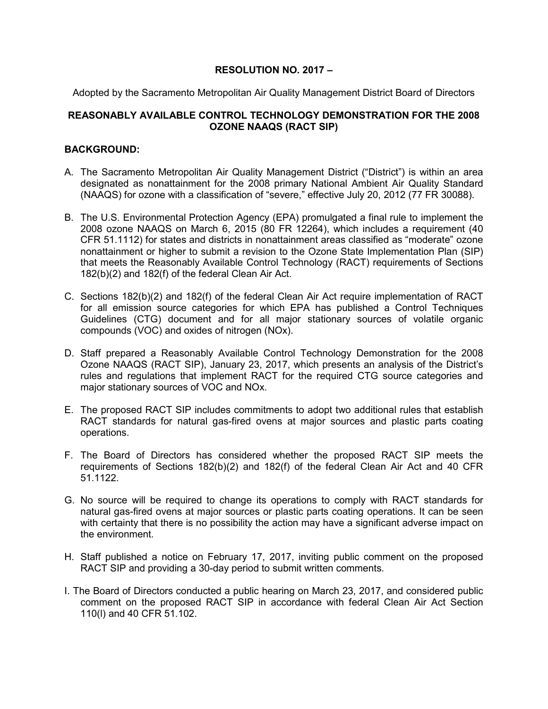## **RESOLUTION NO. 2017 –**

Adopted by the Sacramento Metropolitan Air Quality Management District Board of Directors

## **REASONABLY AVAILABLE CONTROL TECHNOLOGY DEMONSTRATION FOR THE 2008 OZONE NAAQS (RACT SIP)**

## **BACKGROUND:**

- A. The Sacramento Metropolitan Air Quality Management District ("District") is within an area designated as nonattainment for the 2008 primary National Ambient Air Quality Standard (NAAQS) for ozone with a classification of "severe," effective July 20, 2012 (77 FR 30088).
- B. The U.S. Environmental Protection Agency (EPA) promulgated a final rule to implement the 2008 ozone NAAQS on March 6, 2015 (80 FR 12264), which includes a requirement (40 CFR 51.1112) for states and districts in nonattainment areas classified as "moderate" ozone nonattainment or higher to submit a revision to the Ozone State Implementation Plan (SIP) that meets the Reasonably Available Control Technology (RACT) requirements of Sections 182(b)(2) and 182(f) of the federal Clean Air Act.
- C. Sections 182(b)(2) and 182(f) of the federal Clean Air Act require implementation of RACT for all emission source categories for which EPA has published a Control Techniques Guidelines (CTG) document and for all major stationary sources of volatile organic compounds (VOC) and oxides of nitrogen (NOx).
- D. Staff prepared a Reasonably Available Control Technology Demonstration for the 2008 Ozone NAAQS (RACT SIP), January 23, 2017, which presents an analysis of the District's rules and regulations that implement RACT for the required CTG source categories and major stationary sources of VOC and NOx.
- E. The proposed RACT SIP includes commitments to adopt two additional rules that establish RACT standards for natural gas-fired ovens at major sources and plastic parts coating operations.
- F. The Board of Directors has considered whether the proposed RACT SIP meets the requirements of Sections 182(b)(2) and 182(f) of the federal Clean Air Act and 40 CFR 51.1122.
- G. No source will be required to change its operations to comply with RACT standards for natural gas-fired ovens at major sources or plastic parts coating operations. It can be seen with certainty that there is no possibility the action may have a significant adverse impact on the environment.
- H. Staff published a notice on February 17, 2017, inviting public comment on the proposed RACT SIP and providing a 30-day period to submit written comments.
- I. The Board of Directors conducted a public hearing on March 23, 2017, and considered public comment on the proposed RACT SIP in accordance with federal Clean Air Act Section 110(l) and 40 CFR 51.102.